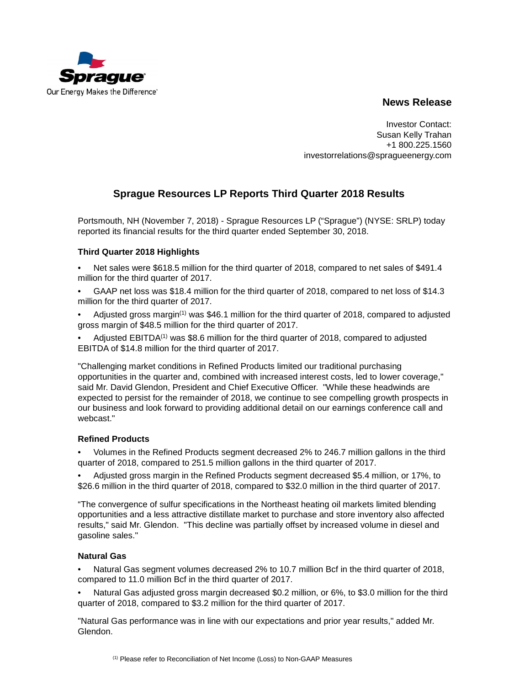

# **News Release**

Investor Contact: Susan Kelly Trahan +1 800.225.1560 investorrelations@spragueenergy.com

# **Sprague Resources LP Reports Third Quarter 2018 Results**

Portsmouth, NH (November 7, 2018) - Sprague Resources LP ("Sprague") (NYSE: SRLP) today reported its financial results for the third quarter ended September 30, 2018.

# **Third Quarter 2018 Highlights**

- Net sales were \$618.5 million for the third quarter of 2018, compared to net sales of \$491.4 million for the third quarter of 2017.
- GAAP net loss was \$18.4 million for the third quarter of 2018, compared to net loss of \$14.3 million for the third quarter of 2017.
- Adjusted gross margin<sup>(1)</sup> was \$46.1 million for the third quarter of 2018, compared to adjusted gross margin of \$48.5 million for the third quarter of 2017.
- Adjusted  $EBITDA<sup>(1)</sup>$  was \$8.6 million for the third quarter of 2018, compared to adjusted EBITDA of \$14.8 million for the third quarter of 2017.

"Challenging market conditions in Refined Products limited our traditional purchasing opportunities in the quarter and, combined with increased interest costs, led to lower coverage," said Mr. David Glendon, President and Chief Executive Officer. "While these headwinds are expected to persist for the remainder of 2018, we continue to see compelling growth prospects in our business and look forward to providing additional detail on our earnings conference call and webcast."

## **Refined Products**

• Volumes in the Refined Products segment decreased 2% to 246.7 million gallons in the third quarter of 2018, compared to 251.5 million gallons in the third quarter of 2017.

• Adjusted gross margin in the Refined Products segment decreased \$5.4 million, or 17%, to \$26.6 million in the third quarter of 2018, compared to \$32.0 million in the third quarter of 2017.

"The convergence of sulfur specifications in the Northeast heating oil markets limited blending opportunities and a less attractive distillate market to purchase and store inventory also affected results," said Mr. Glendon. "This decline was partially offset by increased volume in diesel and gasoline sales."

## **Natural Gas**

• Natural Gas segment volumes decreased 2% to 10.7 million Bcf in the third quarter of 2018, compared to 11.0 million Bcf in the third quarter of 2017.

• Natural Gas adjusted gross margin decreased \$0.2 million, or 6%, to \$3.0 million for the third quarter of 2018, compared to \$3.2 million for the third quarter of 2017.

"Natural Gas performance was in line with our expectations and prior year results," added Mr. Glendon.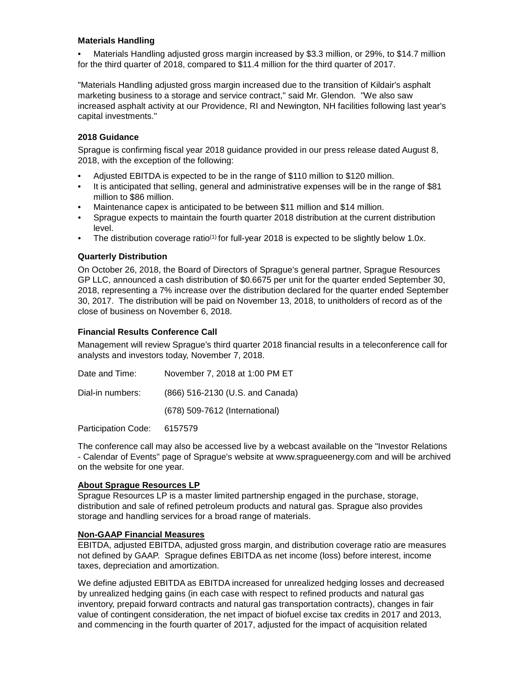## **Materials Handling**

• Materials Handling adjusted gross margin increased by \$3.3 million, or 29%, to \$14.7 million for the third quarter of 2018, compared to \$11.4 million for the third quarter of 2017.

"Materials Handling adjusted gross margin increased due to the transition of Kildair's asphalt marketing business to a storage and service contract," said Mr. Glendon. "We also saw increased asphalt activity at our Providence, RI and Newington, NH facilities following last year's capital investments."

## **2018 Guidance**

Sprague is confirming fiscal year 2018 guidance provided in our press release dated August 8, 2018, with the exception of the following:

- Adjusted EBITDA is expected to be in the range of \$110 million to \$120 million.
- It is anticipated that selling, general and administrative expenses will be in the range of \$81 million to \$86 million.
- Maintenance capex is anticipated to be between \$11 million and \$14 million.
- Sprague expects to maintain the fourth quarter 2018 distribution at the current distribution level.
- The distribution coverage ratio<sup>(1)</sup> for full-year 2018 is expected to be slightly below 1.0x.

#### **Quarterly Distribution**

On October 26, 2018, the Board of Directors of Sprague's general partner, Sprague Resources GP LLC, announced a cash distribution of \$0.6675 per unit for the quarter ended September 30, 2018, representing a 7% increase over the distribution declared for the quarter ended September 30, 2017. The distribution will be paid on November 13, 2018, to unitholders of record as of the close of business on November 6, 2018.

## **Financial Results Conference Call**

Management will review Sprague's third quarter 2018 financial results in a teleconference call for analysts and investors today, November 7, 2018.

| Date and Time:   | November 7, 2018 at 1:00 PM ET   |
|------------------|----------------------------------|
| Dial-in numbers: | (866) 516-2130 (U.S. and Canada) |
|                  | (678) 509-7612 (International)   |
| .                |                                  |

Participation Code: 6157579

The conference call may also be accessed live by a webcast available on the "Investor Relations - Calendar of Events" page of Sprague's website at www.spragueenergy.com and will be archived on the website for one year.

#### **About Sprague Resources LP**

Sprague Resources LP is a master limited partnership engaged in the purchase, storage, distribution and sale of refined petroleum products and natural gas. Sprague also provides storage and handling services for a broad range of materials.

#### **Non-GAAP Financial Measures**

EBITDA, adjusted EBITDA, adjusted gross margin, and distribution coverage ratio are measures not defined by GAAP. Sprague defines EBITDA as net income (loss) before interest, income taxes, depreciation and amortization.

We define adjusted EBITDA as EBITDA increased for unrealized hedging losses and decreased by unrealized hedging gains (in each case with respect to refined products and natural gas inventory, prepaid forward contracts and natural gas transportation contracts), changes in fair value of contingent consideration, the net impact of biofuel excise tax credits in 2017 and 2013, and commencing in the fourth quarter of 2017, adjusted for the impact of acquisition related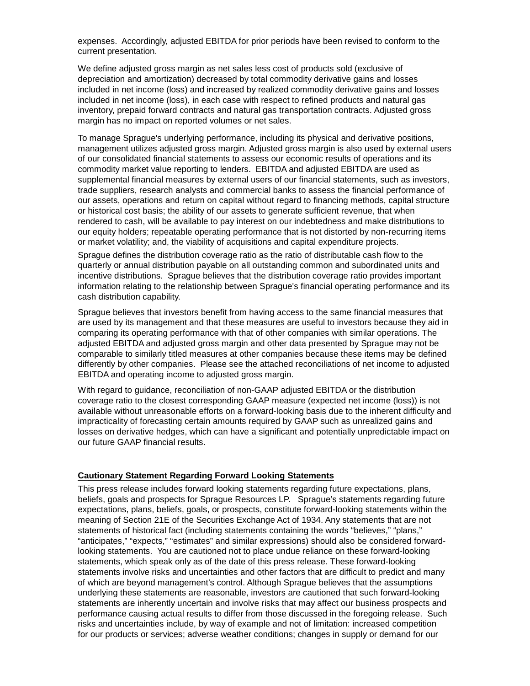expenses. Accordingly, adjusted EBITDA for prior periods have been revised to conform to the current presentation.

We define adjusted gross margin as net sales less cost of products sold (exclusive of depreciation and amortization) decreased by total commodity derivative gains and losses included in net income (loss) and increased by realized commodity derivative gains and losses included in net income (loss), in each case with respect to refined products and natural gas inventory, prepaid forward contracts and natural gas transportation contracts. Adjusted gross margin has no impact on reported volumes or net sales.

To manage Sprague's underlying performance, including its physical and derivative positions, management utilizes adjusted gross margin. Adjusted gross margin is also used by external users of our consolidated financial statements to assess our economic results of operations and its commodity market value reporting to lenders. EBITDA and adjusted EBITDA are used as supplemental financial measures by external users of our financial statements, such as investors, trade suppliers, research analysts and commercial banks to assess the financial performance of our assets, operations and return on capital without regard to financing methods, capital structure or historical cost basis; the ability of our assets to generate sufficient revenue, that when rendered to cash, will be available to pay interest on our indebtedness and make distributions to our equity holders; repeatable operating performance that is not distorted by non-recurring items or market volatility; and, the viability of acquisitions and capital expenditure projects.

Sprague defines the distribution coverage ratio as the ratio of distributable cash flow to the quarterly or annual distribution payable on all outstanding common and subordinated units and incentive distributions. Sprague believes that the distribution coverage ratio provides important information relating to the relationship between Sprague's financial operating performance and its cash distribution capability.

Sprague believes that investors benefit from having access to the same financial measures that are used by its management and that these measures are useful to investors because they aid in comparing its operating performance with that of other companies with similar operations. The adjusted EBITDA and adjusted gross margin and other data presented by Sprague may not be comparable to similarly titled measures at other companies because these items may be defined differently by other companies. Please see the attached reconciliations of net income to adjusted EBITDA and operating income to adjusted gross margin.

With regard to guidance, reconciliation of non-GAAP adjusted EBITDA or the distribution coverage ratio to the closest corresponding GAAP measure (expected net income (loss)) is not available without unreasonable efforts on a forward-looking basis due to the inherent difficulty and impracticality of forecasting certain amounts required by GAAP such as unrealized gains and losses on derivative hedges, which can have a significant and potentially unpredictable impact on our future GAAP financial results.

#### **Cautionary Statement Regarding Forward Looking Statements**

This press release includes forward looking statements regarding future expectations, plans, beliefs, goals and prospects for Sprague Resources LP. Sprague's statements regarding future expectations, plans, beliefs, goals, or prospects, constitute forward-looking statements within the meaning of Section 21E of the Securities Exchange Act of 1934. Any statements that are not statements of historical fact (including statements containing the words "believes," "plans," "anticipates," "expects," "estimates" and similar expressions) should also be considered forwardlooking statements. You are cautioned not to place undue reliance on these forward-looking statements, which speak only as of the date of this press release. These forward-looking statements involve risks and uncertainties and other factors that are difficult to predict and many of which are beyond management's control. Although Sprague believes that the assumptions underlying these statements are reasonable, investors are cautioned that such forward-looking statements are inherently uncertain and involve risks that may affect our business prospects and performance causing actual results to differ from those discussed in the foregoing release. Such risks and uncertainties include, by way of example and not of limitation: increased competition for our products or services; adverse weather conditions; changes in supply or demand for our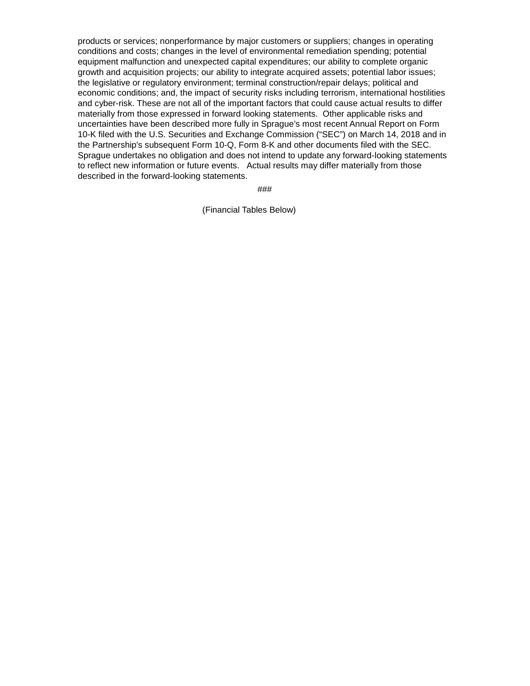products or services; nonperformance by major customers or suppliers; changes in operating conditions and costs; changes in the level of environmental remediation spending; potential equipment malfunction and unexpected capital expenditures; our ability to complete organic growth and acquisition projects; our ability to integrate acquired assets; potential labor issues; the legislative or regulatory environment; terminal construction/repair delays; political and economic conditions; and, the impact of security risks including terrorism, international hostilities and cyber-risk. These are not all of the important factors that could cause actual results to differ materially from those expressed in forward looking statements. Other applicable risks and uncertainties have been described more fully in Sprague's most recent Annual Report on Form 10-K filed with the U.S. Securities and Exchange Commission ("SEC") on March 14, 2018 and in the Partnership's subsequent Form 10-Q, Form 8-K and other documents filed with the SEC. Sprague undertakes no obligation and does not intend to update any forward-looking statements to reflect new information or future events. Actual results may differ materially from those described in the forward-looking statements.

###

(Financial Tables Below)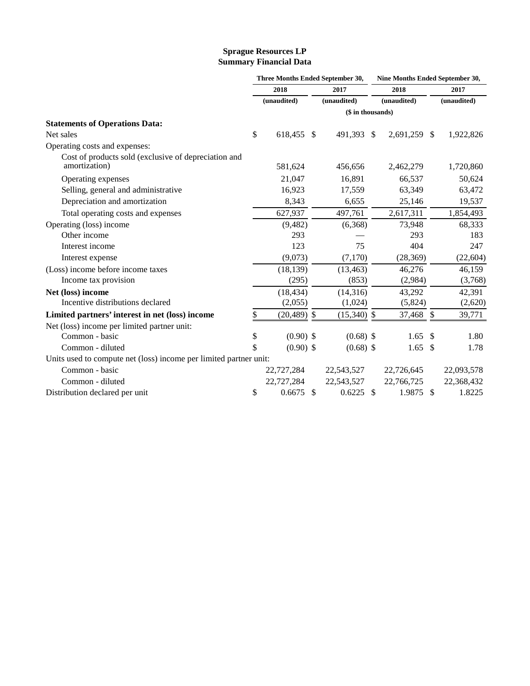### **Sprague Resources LP Summary Financial Data**

|                                                                       | Three Months Ended September 30, |               |               | Nine Months Ended September 30, |              |              |             |  |
|-----------------------------------------------------------------------|----------------------------------|---------------|---------------|---------------------------------|--------------|--------------|-------------|--|
|                                                                       | 2018                             |               | 2017          |                                 | 2018         |              | 2017        |  |
|                                                                       | (unaudited)                      |               | (unaudited)   |                                 | (unaudited)  |              | (unaudited) |  |
|                                                                       | (\$ in thousands)                |               |               |                                 |              |              |             |  |
| <b>Statements of Operations Data:</b>                                 |                                  |               |               |                                 |              |              |             |  |
| Net sales                                                             | \$<br>618,455 \$                 |               | 491,393 \$    |                                 | 2,691,259 \$ |              | 1,922,826   |  |
| Operating costs and expenses:                                         |                                  |               |               |                                 |              |              |             |  |
| Cost of products sold (exclusive of depreciation and<br>amortization) | 581,624                          |               | 456,656       |                                 | 2,462,279    |              | 1,720,860   |  |
| Operating expenses                                                    | 21,047                           |               | 16,891        |                                 | 66,537       |              | 50,624      |  |
| Selling, general and administrative                                   | 16,923                           |               | 17,559        |                                 | 63,349       |              | 63,472      |  |
| Depreciation and amortization                                         | 8,343                            |               | 6,655         |                                 | 25,146       |              | 19,537      |  |
| Total operating costs and expenses                                    | 627,937                          |               | 497,761       |                                 | 2,617,311    |              | 1,854,493   |  |
| Operating (loss) income                                               | (9,482)                          |               | (6,368)       |                                 | 73,948       |              | 68,333      |  |
| Other income                                                          | 293                              |               |               |                                 | 293          |              | 183         |  |
| Interest income                                                       | 123                              |               | 75            |                                 | 404          |              | 247         |  |
| Interest expense                                                      | (9,073)                          |               | (7,170)       |                                 | (28, 369)    |              | (22, 604)   |  |
| (Loss) income before income taxes                                     | (18, 139)                        |               | (13, 463)     |                                 | 46,276       |              | 46,159      |  |
| Income tax provision                                                  | (295)                            |               | (853)         |                                 | (2,984)      |              | (3,768)     |  |
| Net (loss) income                                                     | (18, 434)                        |               | (14,316)      |                                 | 43,292       |              | 42,391      |  |
| Incentive distributions declared                                      | (2,055)                          |               | (1,024)       |                                 | (5,824)      |              | (2,620)     |  |
| Limited partners' interest in net (loss) income                       | \$<br>$(20, 489)$ \$             |               | $(15,340)$ \$ |                                 | 37,468 \$    |              | 39,771      |  |
| Net (loss) income per limited partner unit:                           |                                  |               |               |                                 |              |              |             |  |
| Common - basic                                                        | \$<br>$(0.90)$ \$                |               | $(0.68)$ \$   |                                 | 1.65         | $\mathbb{S}$ | 1.80        |  |
| Common - diluted                                                      | \$<br>$(0.90)$ \$                |               | $(0.68)$ \$   |                                 | 1.65         | - \$         | 1.78        |  |
| Units used to compute net (loss) income per limited partner unit:     |                                  |               |               |                                 |              |              |             |  |
| Common - basic                                                        | 22,727,284                       |               | 22,543,527    |                                 | 22,726,645   |              | 22,093,578  |  |
| Common - diluted                                                      | 22,727,284                       |               | 22,543,527    |                                 | 22,766,725   |              | 22,368,432  |  |
| Distribution declared per unit                                        | \$<br>0.6675                     | <sup>\$</sup> | $0.6225$ \$   |                                 | 1.9875 \$    |              | 1.8225      |  |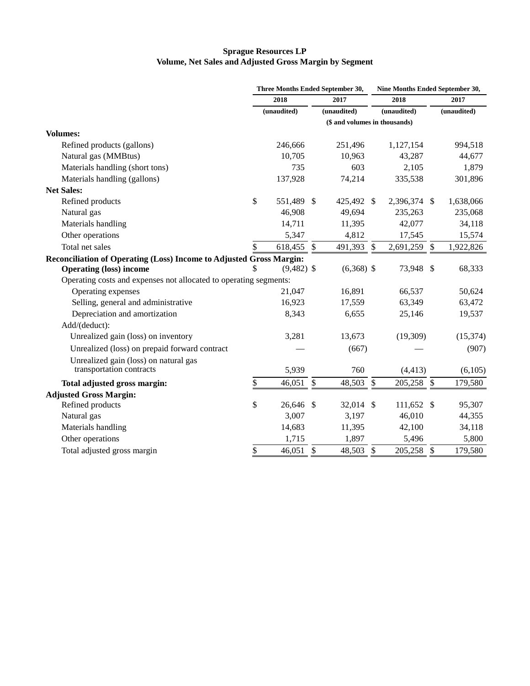### **Sprague Resources LP Volume, Net Sales and Adjusted Gross Margin by Segment**

|                                                                     |                               | Three Months Ended September 30, |                         |              | Nine Months Ended September 30, |              |                           |             |  |
|---------------------------------------------------------------------|-------------------------------|----------------------------------|-------------------------|--------------|---------------------------------|--------------|---------------------------|-------------|--|
|                                                                     | 2018                          |                                  | 2017                    |              | 2018                            |              |                           | 2017        |  |
|                                                                     |                               | (unaudited)                      |                         | (unaudited)  |                                 | (unaudited)  |                           | (unaudited) |  |
|                                                                     | (\$ and volumes in thousands) |                                  |                         |              |                                 |              |                           |             |  |
| <b>Volumes:</b>                                                     |                               |                                  |                         |              |                                 |              |                           |             |  |
| Refined products (gallons)                                          |                               | 246,666                          |                         | 251,496      |                                 | 1,127,154    |                           | 994,518     |  |
| Natural gas (MMBtus)                                                |                               | 10,705                           |                         | 10,963       |                                 | 43,287       |                           | 44,677      |  |
| Materials handling (short tons)                                     |                               | 735                              |                         | 603          |                                 | 2,105        |                           | 1,879       |  |
| Materials handling (gallons)                                        |                               | 137,928                          |                         | 74,214       |                                 | 335,538      |                           | 301,896     |  |
| <b>Net Sales:</b>                                                   |                               |                                  |                         |              |                                 |              |                           |             |  |
| Refined products                                                    | \$                            | 551,489                          | -\$                     | 425,492 \$   |                                 | 2,396,374 \$ |                           | 1,638,066   |  |
| Natural gas                                                         |                               | 46,908                           |                         | 49,694       |                                 | 235,263      |                           | 235,068     |  |
| Materials handling                                                  |                               | 14,711                           |                         | 11,395       |                                 | 42,077       |                           | 34,118      |  |
| Other operations                                                    |                               | 5,347                            |                         | 4,812        |                                 | 17,545       |                           | 15,574      |  |
| Total net sales                                                     | \$                            | 618,455                          | $\mathcal{S}$           | 491,393 \$   |                                 | 2,691,259    | $\boldsymbol{\mathsf{S}}$ | 1,922,826   |  |
| Reconciliation of Operating (Loss) Income to Adjusted Gross Margin: |                               |                                  |                         |              |                                 |              |                           |             |  |
| <b>Operating (loss) income</b>                                      |                               | $(9,482)$ \$                     |                         | $(6,368)$ \$ |                                 | 73,948 \$    |                           | 68,333      |  |
| Operating costs and expenses not allocated to operating segments:   |                               |                                  |                         |              |                                 |              |                           |             |  |
| Operating expenses                                                  |                               | 21,047                           |                         | 16,891       |                                 | 66,537       |                           | 50,624      |  |
| Selling, general and administrative                                 |                               | 16,923                           |                         | 17,559       |                                 | 63,349       |                           | 63,472      |  |
| Depreciation and amortization                                       |                               | 8,343                            |                         | 6,655        |                                 | 25,146       |                           | 19,537      |  |
| Add/(deduct):                                                       |                               |                                  |                         |              |                                 |              |                           |             |  |
| Unrealized gain (loss) on inventory                                 |                               | 3,281                            |                         | 13,673       |                                 | (19,309)     |                           | (15, 374)   |  |
| Unrealized (loss) on prepaid forward contract                       |                               |                                  |                         | (667)        |                                 |              |                           | (907)       |  |
| Unrealized gain (loss) on natural gas                               |                               |                                  |                         |              |                                 |              |                           |             |  |
| transportation contracts                                            |                               | 5,939                            |                         | 760          |                                 | (4, 413)     |                           | (6,105)     |  |
| Total adjusted gross margin:                                        | \$                            | 46,051                           | $\sqrt[6]{\frac{1}{2}}$ | 48,503       | $\boldsymbol{\mathsf{S}}$       | 205,258 \$   |                           | 179,580     |  |
| <b>Adjusted Gross Margin:</b>                                       |                               |                                  |                         |              |                                 |              |                           |             |  |
| Refined products                                                    | \$                            | 26,646                           | $\mathcal{S}$           | 32,014 \$    |                                 | 111,652 \$   |                           | 95,307      |  |
| Natural gas                                                         |                               | 3,007                            |                         | 3,197        |                                 | 46,010       |                           | 44,355      |  |
| Materials handling                                                  |                               | 14,683                           |                         | 11,395       |                                 | 42,100       |                           | 34,118      |  |
| Other operations                                                    |                               | 1,715                            |                         | 1,897        |                                 | 5,496        |                           | 5,800       |  |
| Total adjusted gross margin                                         | \$                            | 46,051 \$                        |                         | 48,503 \$    |                                 | 205,258 \$   |                           | 179,580     |  |